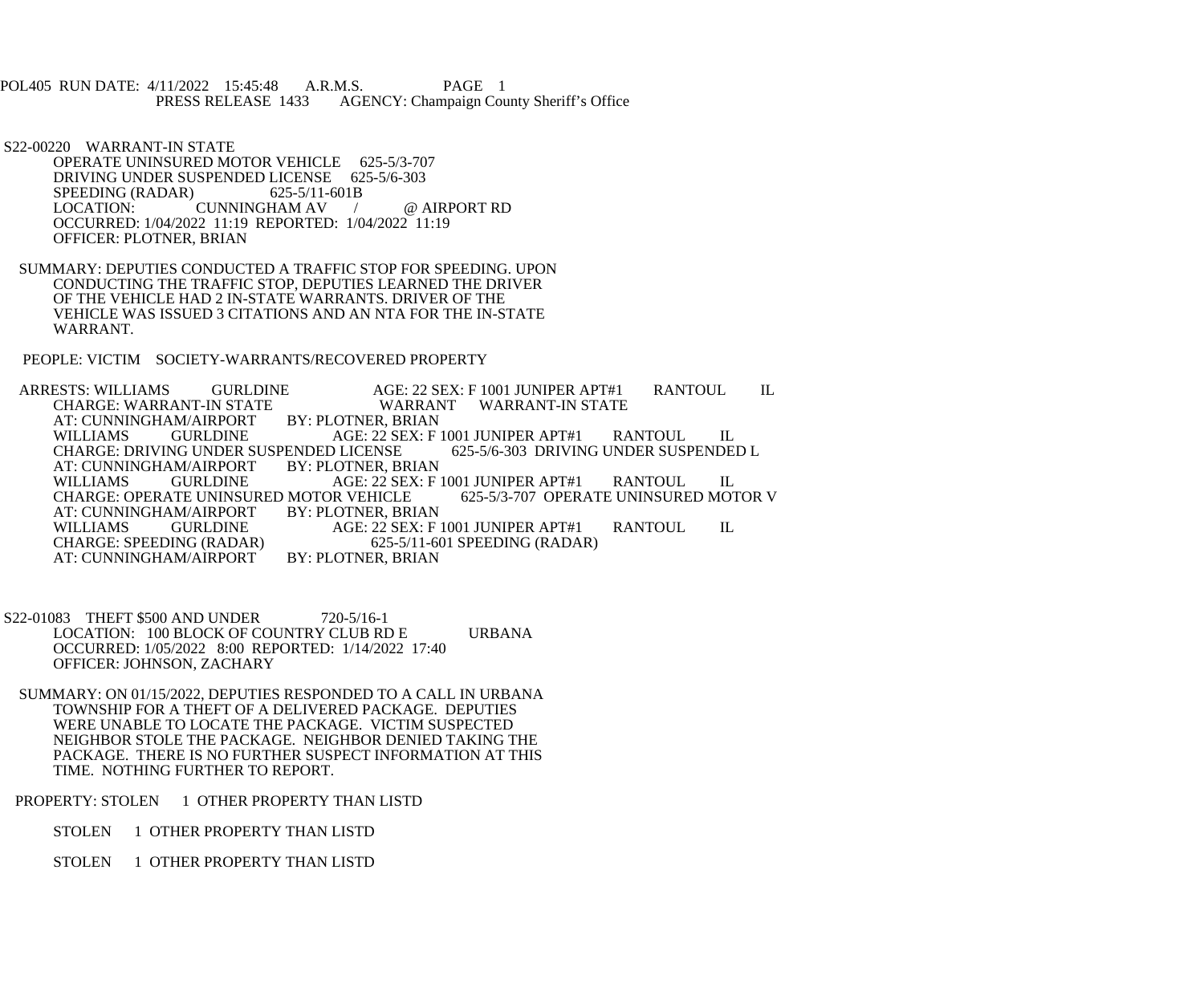POL405 RUN DATE: 4/11/2022 15:45:48 A.R.M.S. PAGE 1<br>PRESS RELEASE 1433 AGENCY: Champaign Cou AGENCY: Champaign County Sheriff's Office

 S22-00220 WARRANT-IN STATE OPERATE UNINSURED MOTOR VEHICLE 625-5/3-707 DRIVING UNDER SUSPENDED LICENSE 625-5/6-303<br>SPEEDING (RADAR) 625-5/11-601B SPEEDING (RADAR)<br>LOCATION: CUNNINGHAM AV / @ AIRPORT RD OCCURRED: 1/04/2022 11:19 REPORTED: 1/04/2022 11:19 OFFICER: PLOTNER, BRIAN

 SUMMARY: DEPUTIES CONDUCTED A TRAFFIC STOP FOR SPEEDING. UPON CONDUCTING THE TRAFFIC STOP, DEPUTIES LEARNED THE DRIVER OF THE VEHICLE HAD 2 IN-STATE WARRANTS. DRIVER OF THE VEHICLE WAS ISSUED 3 CITATIONS AND AN NTA FOR THE IN-STATE WARRANT.

PEOPLE: VICTIM SOCIETY-WARRANTS/RECOVERED PROPERTY

ARRESTS: WILLIAMS GURLDINE AGE: 22 SEX: F 1001 JUNIPER APT#1 RANTOUL IL<br>CHARGE: WARRANT-IN STATE WARRANT WARRANT-IN STATE WARRANT WARRANT-IN STATE<br>BY: PLOTNER. BRIAN AT: CUNNINGHAM/AIRPORT BY: PLOTNER, BRIAN WILLIAMS GURLDINE AGE: 22 SEX: F 1001 JUNIPER APT#1 RANTOUL IL CHARGE: DRIVING UNDER SUSPENDED L CHARGE: DRIVING UNDER SUSPENDED LICENSE<br>AT: CUNNINGHAM/AIRPORT BY: PLOTNER, BRIAN AT: CUNNINGHAM/AIRPORT BY: PLOTNER, BRIAN WILLIAMS GURLDINE AGE: 22 SEX: F 1001 JUNIPER APT#1 RANTOUL IL<br>CHARGE: OPERATE UNINSURED MOTOR VEHICLE 625-5/3-707 OPERATE UNINSURED MOTOR V CHARGE: OPERATE UNINSURED MOTOR VEHICLE<br>AT: CUNNINGHAM/AIRPORT BY: PLOTNER, BRIAN AT: CUNNINGHAM/AIRPORT WILLIAMS GURLDINE AGE: 22 SEX: F 1001 JUNIPER APT#1 RANTOUL IL<br>CHARGE: SPEEDING (RADAR) 625-5/11-601 SPEEDING (RADAR) 625-5/11-601 SPEEDING (RADAR)<br>BY: PLOTNER, BRIAN AT: CUNNINGHAM/AIRPORT

S22-01083 THEFT \$500 AND UNDER 720-5/16-1 LOCATION: 100 BLOCK OF COUNTRY CLUB RD E URBANA OCCURRED: 1/05/2022 8:00 REPORTED: 1/14/2022 17:40 OFFICER: JOHNSON, ZACHARY

 SUMMARY: ON 01/15/2022, DEPUTIES RESPONDED TO A CALL IN URBANA TOWNSHIP FOR A THEFT OF A DELIVERED PACKAGE. DEPUTIES WERE UNABLE TO LOCATE THE PACKAGE. VICTIM SUSPECTED NEIGHBOR STOLE THE PACKAGE. NEIGHBOR DENIED TAKING THE PACKAGE. THERE IS NO FURTHER SUSPECT INFORMATION AT THIS TIME. NOTHING FURTHER TO REPORT.

PROPERTY: STOLEN 1 OTHER PROPERTY THAN LISTD

STOLEN 1 OTHER PROPERTY THAN LISTD

STOLEN 1 OTHER PROPERTY THAN LISTD